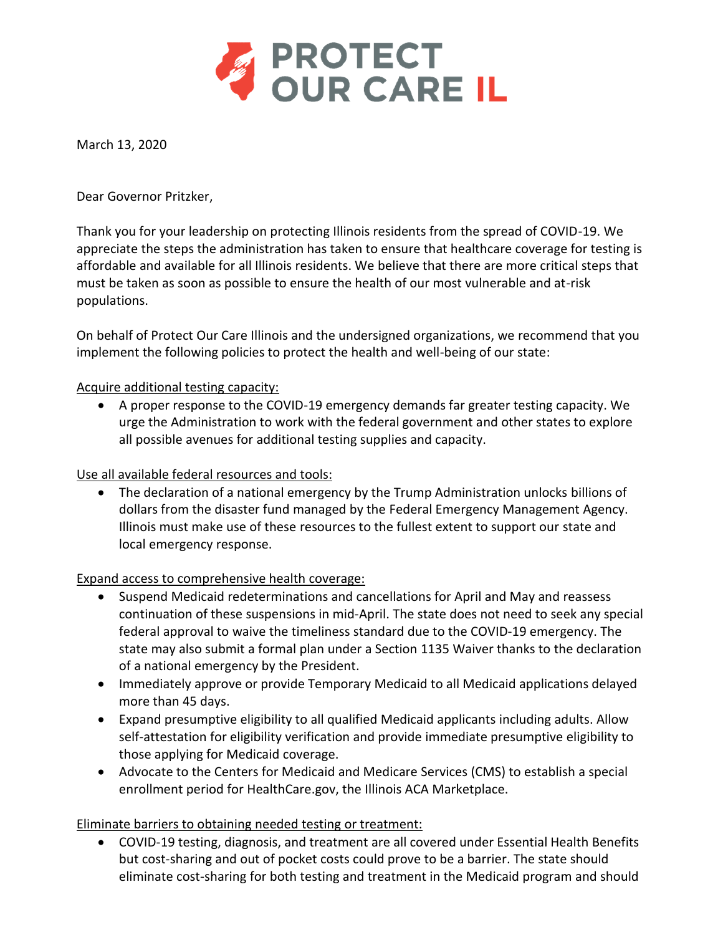

March 13, 2020

Dear Governor Pritzker,

Thank you for your leadership on protecting Illinois residents from the spread of COVID-19. We appreciate the steps the administration has taken to ensure that healthcare coverage for testing is affordable and available for all Illinois residents. We believe that there are more critical steps that must be taken as soon as possible to ensure the health of our most vulnerable and at-risk populations.

On behalf of Protect Our Care Illinois and the undersigned organizations, we recommend that you implement the following policies to protect the health and well-being of our state:

#### Acquire additional testing capacity:

 A proper response to the COVID-19 emergency demands far greater testing capacity. We urge the Administration to work with the federal government and other states to explore all possible avenues for additional testing supplies and capacity.

Use all available federal resources and tools:

 The declaration of a national emergency by the Trump Administration unlocks billions of dollars from the disaster fund managed by the Federal Emergency Management Agency. Illinois must make use of these resources to the fullest extent to support our state and local emergency response.

Expand access to comprehensive health coverage:

- Suspend Medicaid redeterminations and cancellations for April and May and reassess continuation of these suspensions in mid-April. The state does not need to seek any special federal approval to waive the timeliness standard due to the COVID-19 emergency. The state may also submit a formal plan under a Section 1135 Waiver thanks to the declaration of a national emergency by the President.
- Immediately approve or provide Temporary Medicaid to all Medicaid applications delayed more than 45 days.
- Expand presumptive eligibility to all qualified Medicaid applicants including adults. Allow self-attestation for eligibility verification and provide immediate presumptive eligibility to those applying for Medicaid coverage.
- Advocate to the Centers for Medicaid and Medicare Services (CMS) to establish a special enrollment period for HealthCare.gov, the Illinois ACA Marketplace.

## Eliminate barriers to obtaining needed testing or treatment:

 COVID-19 testing, diagnosis, and treatment are all covered under Essential Health Benefits but cost-sharing and out of pocket costs could prove to be a barrier. The state should eliminate cost-sharing for both testing and treatment in the Medicaid program and should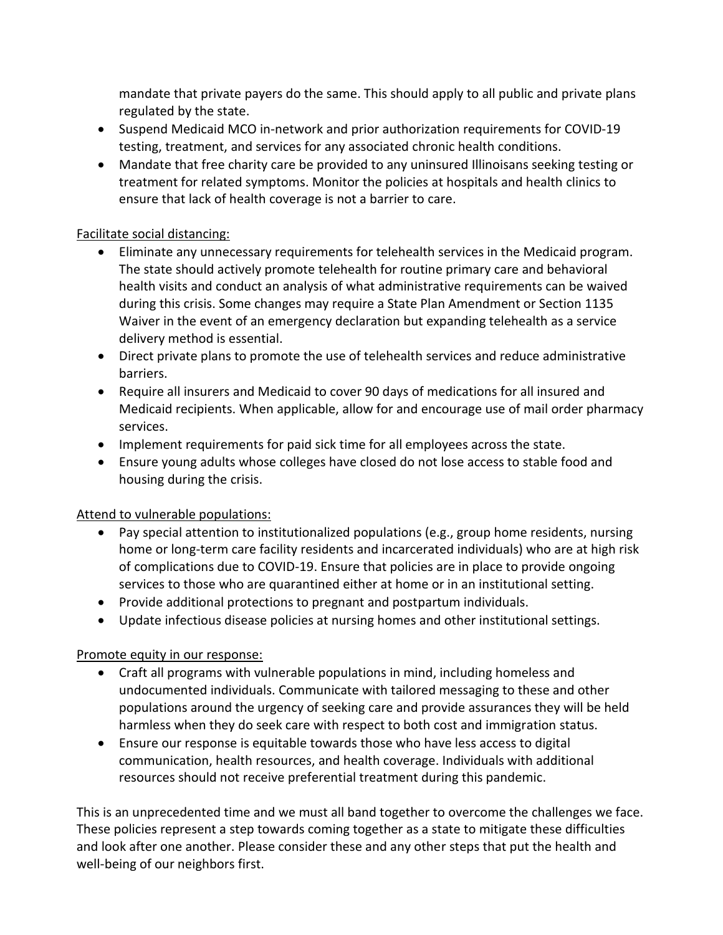mandate that private payers do the same. This should apply to all public and private plans regulated by the state.

- Suspend Medicaid MCO in-network and prior authorization requirements for COVID-19 testing, treatment, and services for any associated chronic health conditions.
- Mandate that free charity care be provided to any uninsured Illinoisans seeking testing or treatment for related symptoms. Monitor the policies at hospitals and health clinics to ensure that lack of health coverage is not a barrier to care.

## Facilitate social distancing:

- Eliminate any unnecessary requirements for telehealth services in the Medicaid program. The state should actively promote telehealth for routine primary care and behavioral health visits and conduct an analysis of what administrative requirements can be waived during this crisis. Some changes may require a State Plan Amendment or Section 1135 Waiver in the event of an emergency declaration but expanding telehealth as a service delivery method is essential.
- Direct private plans to promote the use of telehealth services and reduce administrative barriers.
- Require all insurers and Medicaid to cover 90 days of medications for all insured and Medicaid recipients. When applicable, allow for and encourage use of mail order pharmacy services.
- Implement requirements for paid sick time for all employees across the state.
- Ensure young adults whose colleges have closed do not lose access to stable food and housing during the crisis.

# Attend to vulnerable populations:

- Pay special attention to institutionalized populations (e.g., group home residents, nursing home or long-term care facility residents and incarcerated individuals) who are at high risk of complications due to COVID-19. Ensure that policies are in place to provide ongoing services to those who are quarantined either at home or in an institutional setting.
- Provide additional protections to pregnant and postpartum individuals.
- Update infectious disease policies at nursing homes and other institutional settings.

# Promote equity in our response:

- Craft all programs with vulnerable populations in mind, including homeless and undocumented individuals. Communicate with tailored messaging to these and other populations around the urgency of seeking care and provide assurances they will be held harmless when they do seek care with respect to both cost and immigration status.
- Ensure our response is equitable towards those who have less access to digital communication, health resources, and health coverage. Individuals with additional resources should not receive preferential treatment during this pandemic.

This is an unprecedented time and we must all band together to overcome the challenges we face. These policies represent a step towards coming together as a state to mitigate these difficulties and look after one another. Please consider these and any other steps that put the health and well-being of our neighbors first.